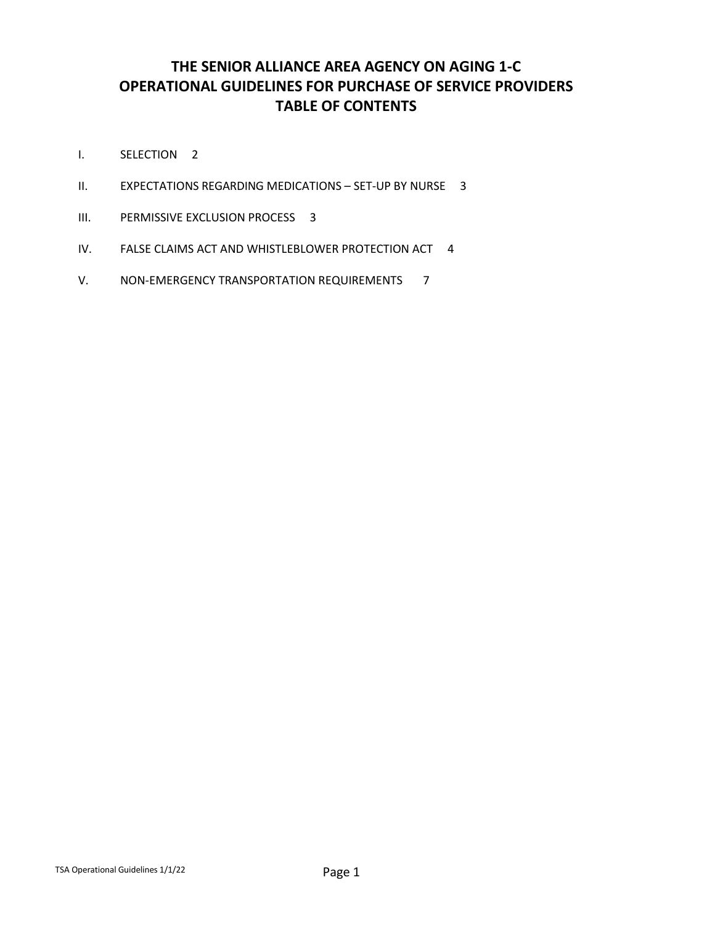# **THE SENIOR ALLIANCE AREA AGENCY ON AGING 1-C OPERATIONAL GUIDELINES FOR PURCHASE OF SERVICE PROVIDERS TABLE OF CONTENTS**

- I. SELECTION 2
- II. EXPECTATIONS REGARDING MEDICATIONS SET-UP BY NURSE 3
- III. PERMISSIVE EXCLUSION PROCESS 3
- IV. FALSE CLAIMS ACT AND WHISTLEBLOWER PROTECTION ACT 4
- V. NON-EMERGENCY TRANSPORTATION REQUIREMENTS 7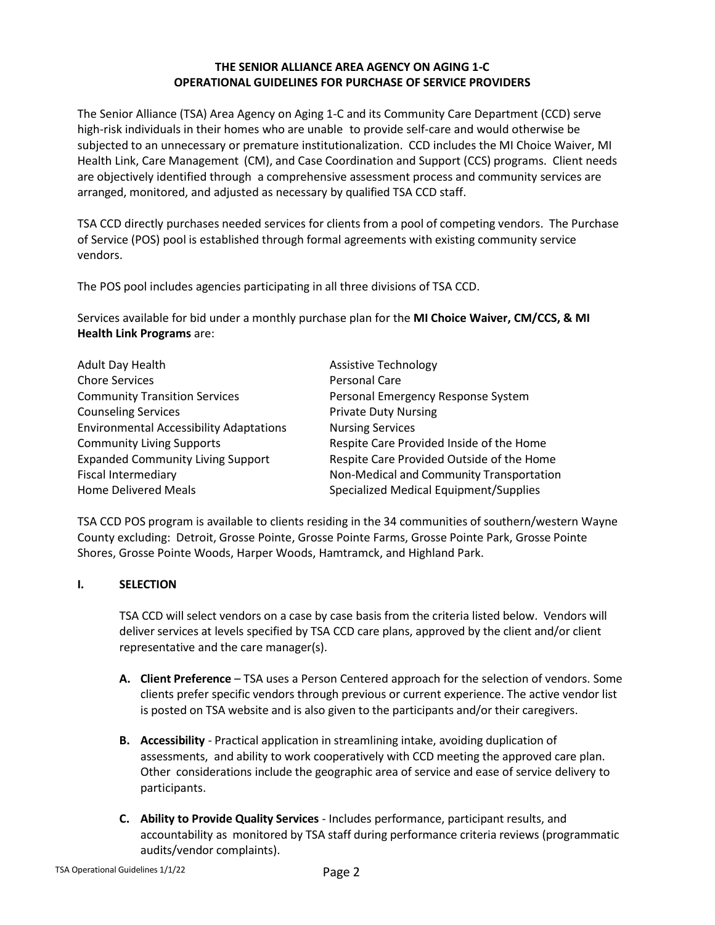#### **THE SENIOR ALLIANCE AREA AGENCY ON AGING 1-C OPERATIONAL GUIDELINES FOR PURCHASE OF SERVICE PROVIDERS**

The Senior Alliance (TSA) Area Agency on Aging 1-C and its Community Care Department (CCD) serve high-risk individuals in their homes who are unable to provide self-care and would otherwise be subjected to an unnecessary or premature institutionalization. CCD includes the MI Choice Waiver, MI Health Link, Care Management (CM), and Case Coordination and Support (CCS) programs. Client needs are objectively identified through a comprehensive assessment process and community services are arranged, monitored, and adjusted as necessary by qualified TSA CCD staff.

TSA CCD directly purchases needed services for clients from a pool of competing vendors. The Purchase of Service (POS) pool is established through formal agreements with existing community service vendors.

The POS pool includes agencies participating in all three divisions of TSA CCD.

Services available for bid under a monthly purchase plan for the **MI Choice Waiver, CM/CCS, & MI Health Link Programs** are:

| Adult Day Health                               | <b>Assistive Technology</b>               |
|------------------------------------------------|-------------------------------------------|
| <b>Chore Services</b>                          | Personal Care                             |
| <b>Community Transition Services</b>           | Personal Emergency Response System        |
| <b>Counseling Services</b>                     | <b>Private Duty Nursing</b>               |
| <b>Environmental Accessibility Adaptations</b> | <b>Nursing Services</b>                   |
| <b>Community Living Supports</b>               | Respite Care Provided Inside of the Home  |
| <b>Expanded Community Living Support</b>       | Respite Care Provided Outside of the Home |
| <b>Fiscal Intermediary</b>                     | Non-Medical and Community Transportation  |
| <b>Home Delivered Meals</b>                    | Specialized Medical Equipment/Supplies    |

TSA CCD POS program is available to clients residing in the 34 communities of southern/western Wayne County excluding: Detroit, Grosse Pointe, Grosse Pointe Farms, Grosse Pointe Park, Grosse Pointe Shores, Grosse Pointe Woods, Harper Woods, Hamtramck, and Highland Park.

#### **I. SELECTION**

TSA CCD will select vendors on a case by case basis from the criteria listed below. Vendors will deliver services at levels specified by TSA CCD care plans, approved by the client and/or client representative and the care manager(s).

- **A. Client Preference** TSA uses a Person Centered approach for the selection of vendors. Some clients prefer specific vendors through previous or current experience. The active vendor list is posted on TSA website and is also given to the participants and/or their caregivers.
- **B. Accessibility** Practical application in streamlining intake, avoiding duplication of assessments, and ability to work cooperatively with CCD meeting the approved care plan. Other considerations include the geographic area of service and ease of service delivery to participants.
- **C. Ability to Provide Quality Services** Includes performance, participant results, and accountability as monitored by TSA staff during performance criteria reviews (programmatic audits/vendor complaints).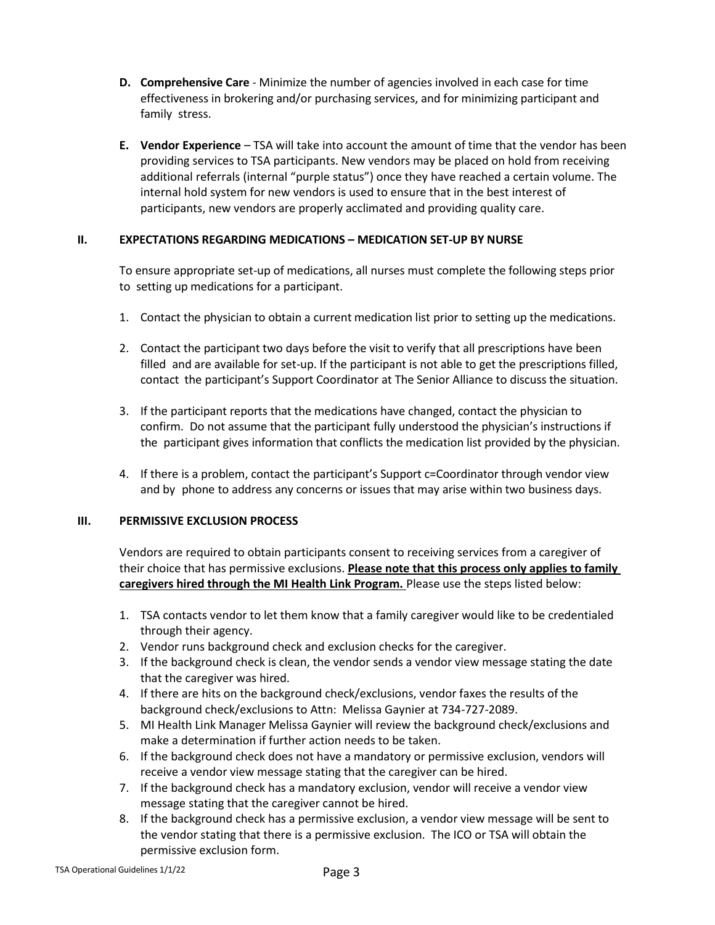- **D. Comprehensive Care** Minimize the number of agencies involved in each case for time effectiveness in brokering and/or purchasing services, and for minimizing participant and family stress.
- **E. Vendor Experience** TSA will take into account the amount of time that the vendor has been providing services to TSA participants. New vendors may be placed on hold from receiving additional referrals (internal "purple status") once they have reached a certain volume. The internal hold system for new vendors is used to ensure that in the best interest of participants, new vendors are properly acclimated and providing quality care.

#### **II. EXPECTATIONS REGARDING MEDICATIONS – MEDICATION SET-UP BY NURSE**

To ensure appropriate set-up of medications, all nurses must complete the following steps prior to setting up medications for a participant.

- 1. Contact the physician to obtain a current medication list prior to setting up the medications.
- 2. Contact the participant two days before the visit to verify that all prescriptions have been filled and are available for set-up. If the participant is not able to get the prescriptions filled, contact the participant's Support Coordinator at The Senior Alliance to discuss the situation.
- 3. If the participant reports that the medications have changed, contact the physician to confirm. Do not assume that the participant fully understood the physician's instructions if the participant gives information that conflicts the medication list provided by the physician.
- 4. If there is a problem, contact the participant's Support c=Coordinator through vendor view and by phone to address any concerns or issues that may arise within two business days.

#### **III. PERMISSIVE EXCLUSION PROCESS**

Vendors are required to obtain participants consent to receiving services from a caregiver of their choice that has permissive exclusions. **Please note that this process only applies to family caregivers hired through the MI Health Link Program.** Please use the steps listed below:

- 1. TSA contacts vendor to let them know that a family caregiver would like to be credentialed through their agency.
- 2. Vendor runs background check and exclusion checks for the caregiver.
- 3. If the background check is clean, the vendor sends a vendor view message stating the date that the caregiver was hired.
- 4. If there are hits on the background check/exclusions, vendor faxes the results of the background check/exclusions to Attn: Melissa Gaynier at 734-727-2089.
- 5. MI Health Link Manager Melissa Gaynier will review the background check/exclusions and make a determination if further action needs to be taken.
- 6. If the background check does not have a mandatory or permissive exclusion, vendors will receive a vendor view message stating that the caregiver can be hired.
- 7. If the background check has a mandatory exclusion, vendor will receive a vendor view message stating that the caregiver cannot be hired.
- 8. If the background check has a permissive exclusion, a vendor view message will be sent to the vendor stating that there is a permissive exclusion. The ICO or TSA will obtain the permissive exclusion form.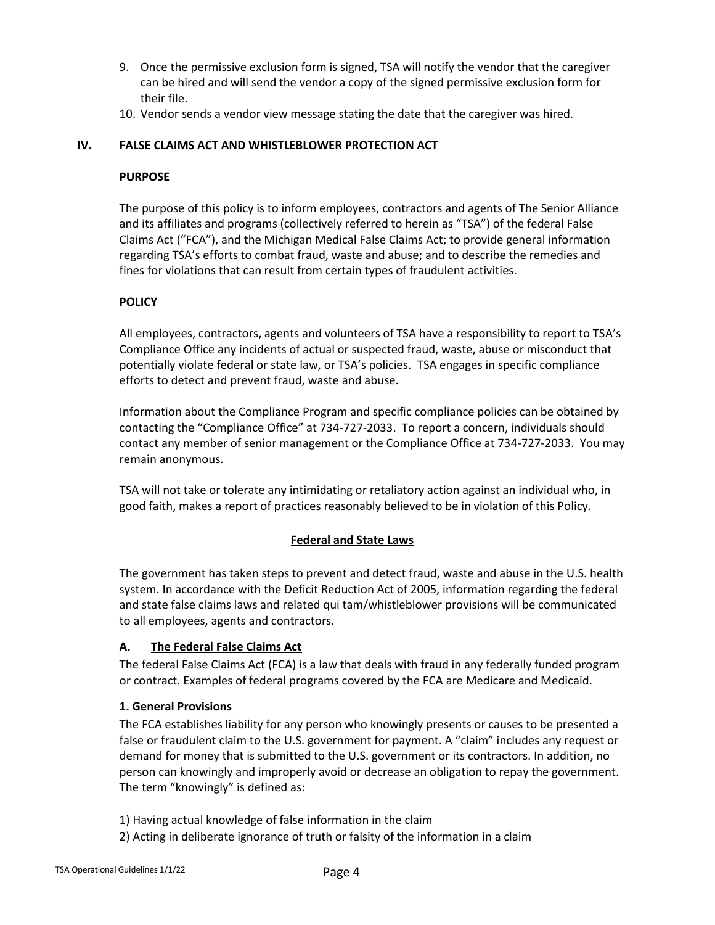- 9. Once the permissive exclusion form is signed, TSA will notify the vendor that the caregiver can be hired and will send the vendor a copy of the signed permissive exclusion form for their file.
- 10. Vendor sends a vendor view message stating the date that the caregiver was hired.

# **IV. FALSE CLAIMS ACT AND WHISTLEBLOWER PROTECTION ACT**

#### **PURPOSE**

The purpose of this policy is to inform employees, contractors and agents of The Senior Alliance and its affiliates and programs (collectively referred to herein as "TSA") of the federal False Claims Act ("FCA"), and the Michigan Medical False Claims Act; to provide general information regarding TSA's efforts to combat fraud, waste and abuse; and to describe the remedies and fines for violations that can result from certain types of fraudulent activities.

#### **POLICY**

All employees, contractors, agents and volunteers of TSA have a responsibility to report to TSA's Compliance Office any incidents of actual or suspected fraud, waste, abuse or misconduct that potentially violate federal or state law, or TSA's policies. TSA engages in specific compliance efforts to detect and prevent fraud, waste and abuse.

Information about the Compliance Program and specific compliance policies can be obtained by contacting the "Compliance Office" at 734-727-2033. To report a concern, individuals should contact any member of senior management or the Compliance Office at 734-727-2033. You may remain anonymous.

TSA will not take or tolerate any intimidating or retaliatory action against an individual who, in good faith, makes a report of practices reasonably believed to be in violation of this Policy.

#### **Federal and State Laws**

The government has taken steps to prevent and detect fraud, waste and abuse in the U.S. health system. In accordance with the Deficit Reduction Act of 2005, information regarding the federal and state false claims laws and related qui tam/whistleblower provisions will be communicated to all employees, agents and contractors.

#### **A. The Federal False Claims Act**

The federal False Claims Act (FCA) is a law that deals with fraud in any federally funded program or contract. Examples of federal programs covered by the FCA are Medicare and Medicaid.

#### **1. General Provisions**

The FCA establishes liability for any person who knowingly presents or causes to be presented a false or fraudulent claim to the U.S. government for payment. A "claim" includes any request or demand for money that is submitted to the U.S. government or its contractors. In addition, no person can knowingly and improperly avoid or decrease an obligation to repay the government. The term "knowingly" is defined as:

1) Having actual knowledge of false information in the claim

2) Acting in deliberate ignorance of truth or falsity of the information in a claim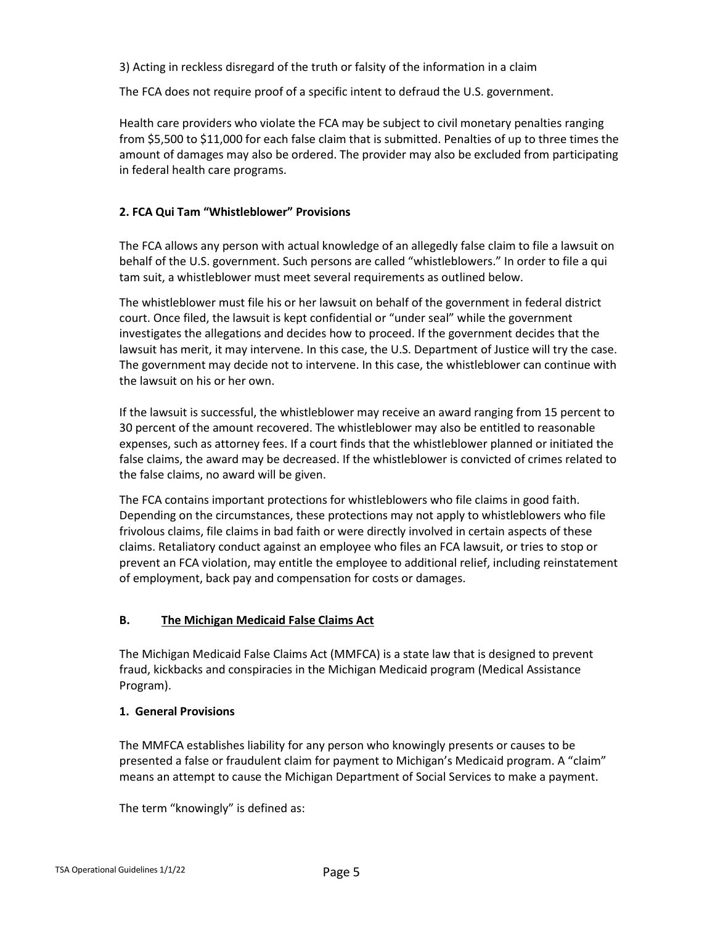3) Acting in reckless disregard of the truth or falsity of the information in a claim

The FCA does not require proof of a specific intent to defraud the U.S. government.

Health care providers who violate the FCA may be subject to civil monetary penalties ranging from \$5,500 to \$11,000 for each false claim that is submitted. Penalties of up to three times the amount of damages may also be ordered. The provider may also be excluded from participating in federal health care programs.

#### **2. FCA Qui Tam "Whistleblower" Provisions**

The FCA allows any person with actual knowledge of an allegedly false claim to file a lawsuit on behalf of the U.S. government. Such persons are called "whistleblowers." In order to file a qui tam suit, a whistleblower must meet several requirements as outlined below.

The whistleblower must file his or her lawsuit on behalf of the government in federal district court. Once filed, the lawsuit is kept confidential or "under seal" while the government investigates the allegations and decides how to proceed. If the government decides that the lawsuit has merit, it may intervene. In this case, the U.S. Department of Justice will try the case. The government may decide not to intervene. In this case, the whistleblower can continue with the lawsuit on his or her own.

If the lawsuit is successful, the whistleblower may receive an award ranging from 15 percent to 30 percent of the amount recovered. The whistleblower may also be entitled to reasonable expenses, such as attorney fees. If a court finds that the whistleblower planned or initiated the false claims, the award may be decreased. If the whistleblower is convicted of crimes related to the false claims, no award will be given.

The FCA contains important protections for whistleblowers who file claims in good faith. Depending on the circumstances, these protections may not apply to whistleblowers who file frivolous claims, file claims in bad faith or were directly involved in certain aspects of these claims. Retaliatory conduct against an employee who files an FCA lawsuit, or tries to stop or prevent an FCA violation, may entitle the employee to additional relief, including reinstatement of employment, back pay and compensation for costs or damages.

#### **B. The Michigan Medicaid False Claims Act**

The Michigan Medicaid False Claims Act (MMFCA) is a state law that is designed to prevent fraud, kickbacks and conspiracies in the Michigan Medicaid program (Medical Assistance Program).

#### **1. General Provisions**

The MMFCA establishes liability for any person who knowingly presents or causes to be presented a false or fraudulent claim for payment to Michigan's Medicaid program. A "claim" means an attempt to cause the Michigan Department of Social Services to make a payment.

The term "knowingly" is defined as: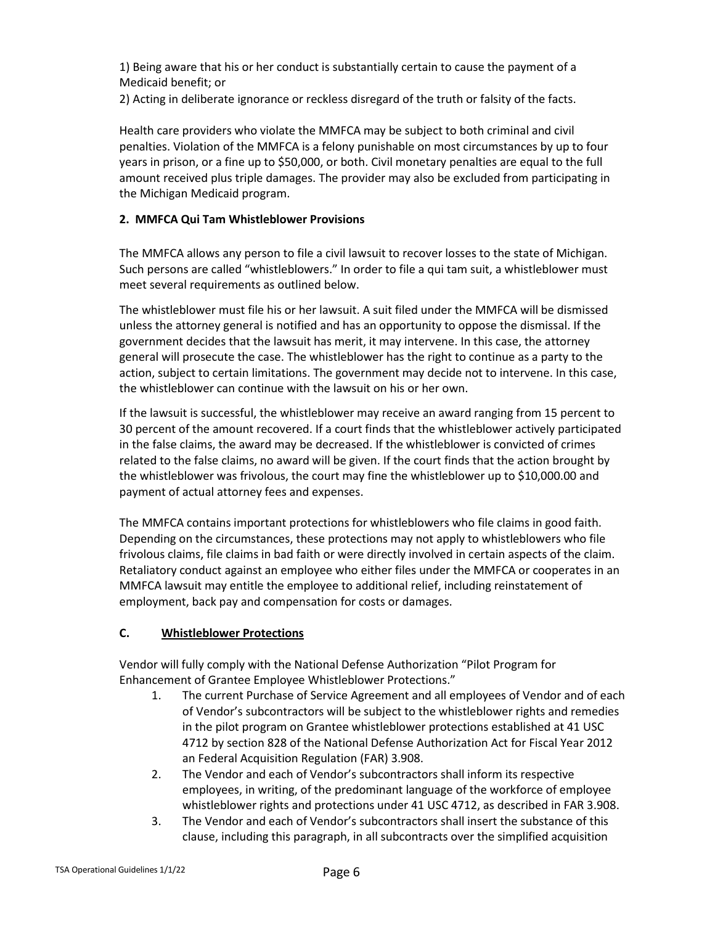1) Being aware that his or her conduct is substantially certain to cause the payment of a Medicaid benefit; or

2) Acting in deliberate ignorance or reckless disregard of the truth or falsity of the facts.

Health care providers who violate the MMFCA may be subject to both criminal and civil penalties. Violation of the MMFCA is a felony punishable on most circumstances by up to four years in prison, or a fine up to \$50,000, or both. Civil monetary penalties are equal to the full amount received plus triple damages. The provider may also be excluded from participating in the Michigan Medicaid program.

# **2. MMFCA Qui Tam Whistleblower Provisions**

The MMFCA allows any person to file a civil lawsuit to recover losses to the state of Michigan. Such persons are called "whistleblowers." In order to file a qui tam suit, a whistleblower must meet several requirements as outlined below.

The whistleblower must file his or her lawsuit. A suit filed under the MMFCA will be dismissed unless the attorney general is notified and has an opportunity to oppose the dismissal. If the government decides that the lawsuit has merit, it may intervene. In this case, the attorney general will prosecute the case. The whistleblower has the right to continue as a party to the action, subject to certain limitations. The government may decide not to intervene. In this case, the whistleblower can continue with the lawsuit on his or her own.

If the lawsuit is successful, the whistleblower may receive an award ranging from 15 percent to 30 percent of the amount recovered. If a court finds that the whistleblower actively participated in the false claims, the award may be decreased. If the whistleblower is convicted of crimes related to the false claims, no award will be given. If the court finds that the action brought by the whistleblower was frivolous, the court may fine the whistleblower up to \$10,000.00 and payment of actual attorney fees and expenses.

The MMFCA contains important protections for whistleblowers who file claims in good faith. Depending on the circumstances, these protections may not apply to whistleblowers who file frivolous claims, file claims in bad faith or were directly involved in certain aspects of the claim. Retaliatory conduct against an employee who either files under the MMFCA or cooperates in an MMFCA lawsuit may entitle the employee to additional relief, including reinstatement of employment, back pay and compensation for costs or damages.

# **C. Whistleblower Protections**

Vendor will fully comply with the National Defense Authorization "Pilot Program for Enhancement of Grantee Employee Whistleblower Protections."

- 1. The current Purchase of Service Agreement and all employees of Vendor and of each of Vendor's subcontractors will be subject to the whistleblower rights and remedies in the pilot program on Grantee whistleblower protections established at 41 USC 4712 by section 828 of the National Defense Authorization Act for Fiscal Year 2012 an Federal Acquisition Regulation (FAR) 3.908.
- 2. The Vendor and each of Vendor's subcontractors shall inform its respective employees, in writing, of the predominant language of the workforce of employee whistleblower rights and protections under 41 USC 4712, as described in FAR 3.908.
- 3. The Vendor and each of Vendor's subcontractors shall insert the substance of this clause, including this paragraph, in all subcontracts over the simplified acquisition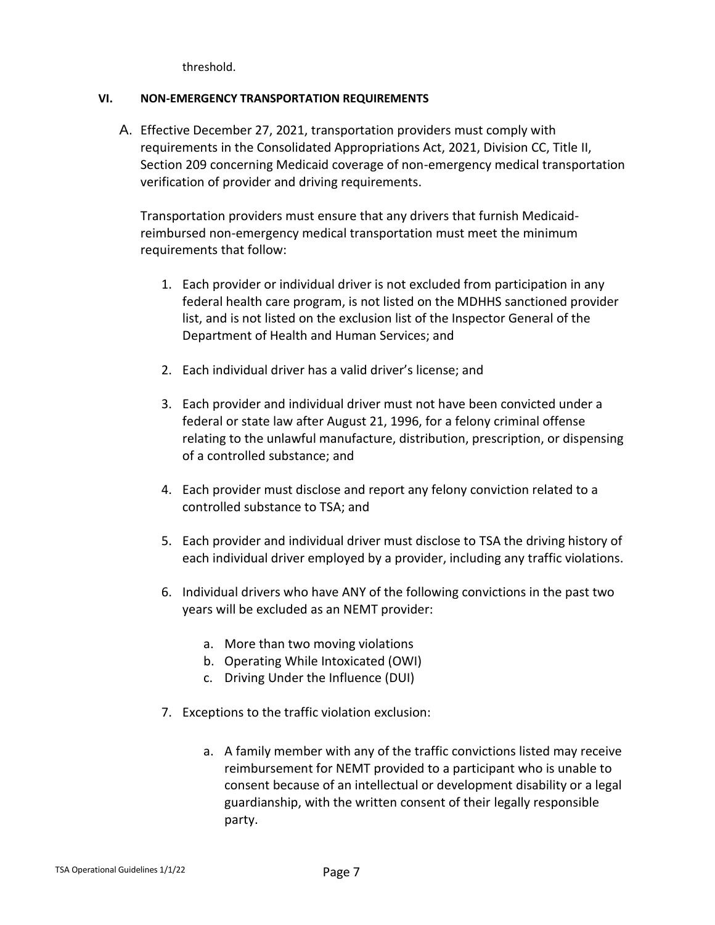threshold.

# **VI. NON-EMERGENCY TRANSPORTATION REQUIREMENTS**

A. Effective December 27, 2021, transportation providers must comply with requirements in the Consolidated Appropriations Act, 2021, Division CC, Title II, Section 209 concerning Medicaid coverage of non-emergency medical transportation verification of provider and driving requirements.

Transportation providers must ensure that any drivers that furnish Medicaidreimbursed non-emergency medical transportation must meet the minimum requirements that follow:

- 1. Each provider or individual driver is not excluded from participation in any federal health care program, is not listed on the MDHHS sanctioned provider list, and is not listed on the exclusion list of the Inspector General of the Department of Health and Human Services; and
- 2. Each individual driver has a valid driver's license; and
- 3. Each provider and individual driver must not have been convicted under a federal or state law after August 21, 1996, for a felony criminal offense relating to the unlawful manufacture, distribution, prescription, or dispensing of a controlled substance; and
- 4. Each provider must disclose and report any felony conviction related to a controlled substance to TSA; and
- 5. Each provider and individual driver must disclose to TSA the driving history of each individual driver employed by a provider, including any traffic violations.
- 6. Individual drivers who have ANY of the following convictions in the past two years will be excluded as an NEMT provider:
	- a. More than two moving violations
	- b. Operating While Intoxicated (OWI)
	- c. Driving Under the Influence (DUI)
- 7. Exceptions to the traffic violation exclusion:
	- a. A family member with any of the traffic convictions listed may receive reimbursement for NEMT provided to a participant who is unable to consent because of an intellectual or development disability or a legal guardianship, with the written consent of their legally responsible party.